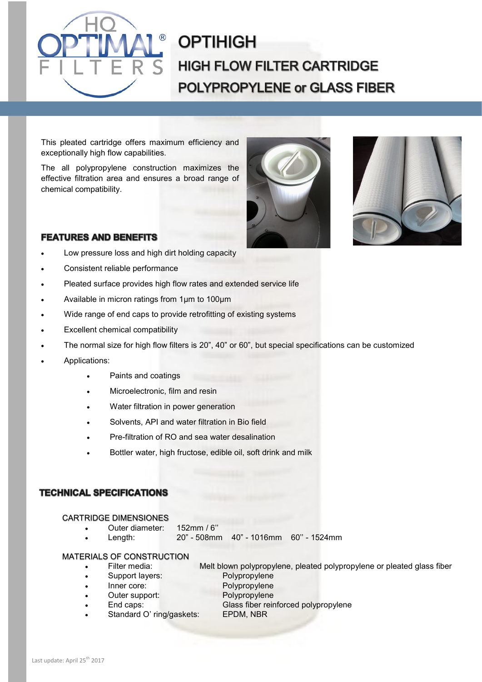

# **OPTIHIGH HIGH FLOW FILTER CARTRIDGE POLYPROPYLENE or GLASS FIBER**

This pleated cartridge offers maximum efficiency and exceptionally high flow capabilities.

The all polypropylene construction maximizes the effective filtration area and ensures a broad range of chemical compatibility.





## **FEATURES AND BENEFITS**

- Low pressure loss and high dirt holding capacity
- Consistent reliable performance
- Pleated surface provides high flow rates and extended service life
- Available in micron ratings from 1µm to 100µm
- Wide range of end caps to provide retrofitting of existing systems
- Excellent chemical compatibility
- The normal size for high flow filters is 20", 40" or 60", but special specifications can be customized
- Applications:
	- Paints and coatings
	- Microelectronic, film and resin
	- Water filtration in power generation
	- Solvents, API and water filtration in Bio field
	- Pre-filtration of RO and sea water desalination
	- Bottler water, high fructose, edible oil, soft drink and milk

## **TECHNICAL SPECIFICATIONS**

#### CARTRIDGE DIMENSIONES

- Outer diameter: 152mm / 6''
- Length: 20" 508mm 40" 1016mm 60'' 1524mm

## MATERIALS OF CONSTRUCTION

- Filter media: Melt blown polypropylene, pleated polypropylene or pleated glass fiber
- Support layers: Polypropylene
	- Inner core: Polypropylene
- - Outer support: Polypropylene
- End caps: Glass fiber reinforced polypropylene
	- Standard O' ring/gaskets: EPDM, NBR
- Last update: April 25<sup>th</sup> 2017